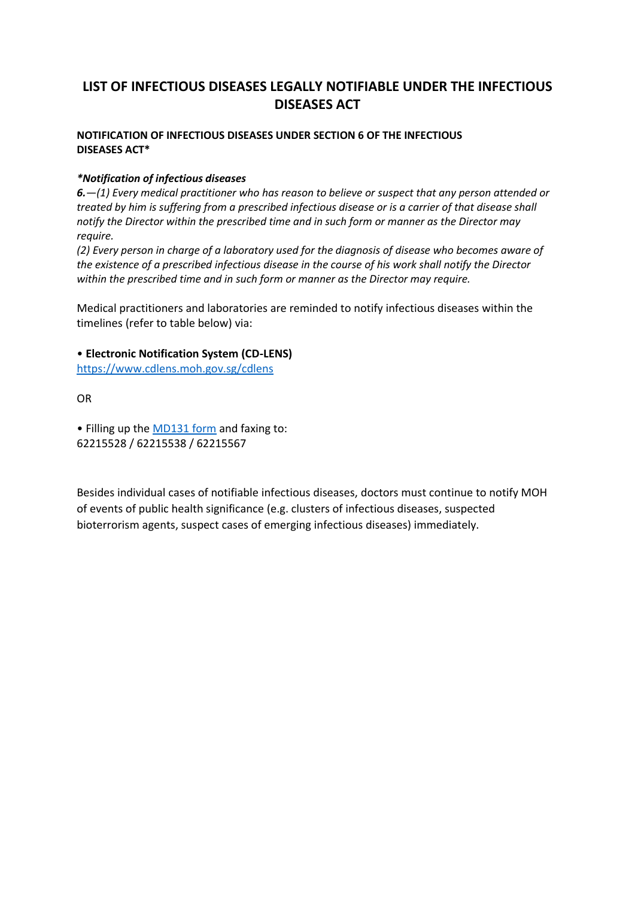## **LIST OF INFECTIOUS DISEASES LEGALLY NOTIFIABLE UNDER THE INFECTIOUS DISEASES ACT**

## **NOTIFICATION OF INFECTIOUS DISEASES UNDER SECTION 6 OF THE INFECTIOUS DISEASES ACT\***

## *\*Notification of infectious diseases*

*6.—(1) Every medical practitioner who has reason to believe or suspect that any person attended or treated by him is suffering from a prescribed infectious disease or is a carrier of that disease shall notify the Director within the prescribed time and in such form or manner as the Director may require.*

*(2) Every person in charge of a laboratory used for the diagnosis of disease who becomes aware of the existence of a prescribed infectious disease in the course of his work shall notify the Director within the prescribed time and in such form or manner as the Director may require.*

Medical practitioners and laboratories are reminded to notify infectious diseases within the timelines (refer to table below) via:

## • **Electronic Notification System (CD-LENS)**

<https://www.cdlens.moh.gov.sg/cdlens>

OR

• Filling up the [MD131 form](https://www.moh.gov.sg/docs/librariesprovider5/disease-updates/md131form_25mar2019.pdf) and faxing to: 62215528 / 62215538 / 62215567

Besides individual cases of notifiable infectious diseases, doctors must continue to notify MOH of events of public health significance (e.g. clusters of infectious diseases, suspected bioterrorism agents, suspect cases of emerging infectious diseases) immediately.